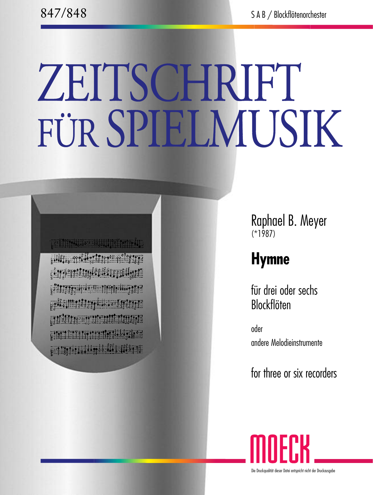847/848 <sup>S</sup> <sup>A</sup> <sup>B</sup> / Blockflötenorchester

# ZEITSCHRIFT FÜR SPIELMUSIK

illis, milliptrome<sup>en</sup>tie Prodovedine francuski Engineer of the company pt i libri lista ENTHE MENTINE PHILIPPINE THE LIBRARY Fightlink flittling

Raphael B. Meyer (\*1987)

## **Hymne**

für drei oder sechs Blockflöten

oder andere Melodieinstrumente

for three or six recorders

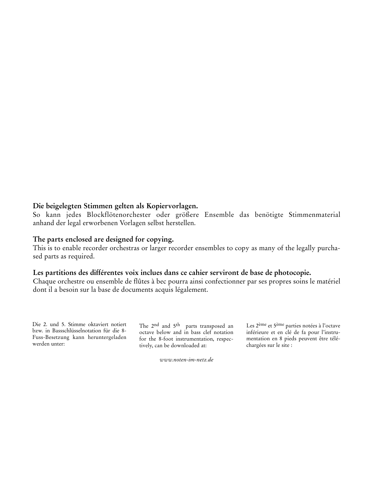#### **Die beigelegten Stimmen gelten als Kopiervorlagen.**

So kann jedes Blockflötenorchester oder größere Ensemble das benötigte Stimmenmaterial anhand der legal erworbenen Vorlagen selbst herstellen.

#### **The parts enclosed are designed for copying.**

This is to enable recorder orchestras or larger recorder ensembles to copy as many of the legally purchased parts as required.

#### **Les partitions des différentes voix inclues dans ce cahier serviront de base de photocopie.**

Chaque orchestre ou ensemble de flûtes à bec pourra ainsi confectionner par ses propres soins le matériel dont il a besoin sur la base de documents acquis légalement.

Die 2. und 5. Stimme oktaviert notiert bzw. in Bassschlüsselnotation für die 8- Fuss-Besetzung kann heruntergeladen werden unter:

The 2<sup>nd</sup> and 5<sup>th</sup> parts transposed an octave below and in bass clef notation for the 8-foot instrumentation, respectively, can be downloaded at:

Les 2ème et 5ème parties notées à l'octave inférieure et en clé de fa pour l'instrumentation en 8 pieds peuvent être téléchargées sur le site :

*www.noten-im-netz.de*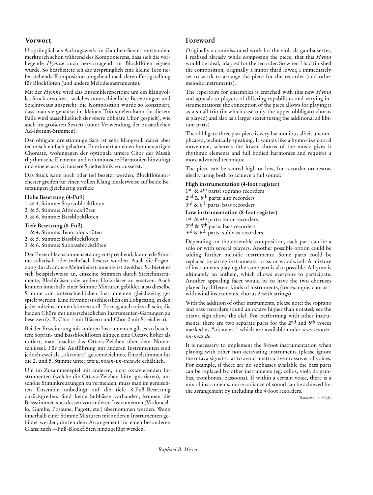#### **Vorwort**

Ursprünglich als Auftragswerk für Gamben-Sextett entstanden, merkte ich schon während des Komponierens, dass sich die vorliegende *Hymne* auch hervorragend für Blockflöten eignen würde. So bearbeitete ich die ursprünglich eine kleine Terz tiefer stehende Komposition umgehend nach deren Fertigstellung für Blockflöten (und andere Melodieinstrumente).

Mit der *Hymne* wird das Ensemblerepertoire um ein klangvolles Stück erweitert, welches unterschiedliche Besetzungen und Spielniveaus anspricht: die Komposition wurde so konzipiert, dass man sie genauso im kleinen Trio spielen kann (in diesem Falle wird ausschließlich der obere obligate Chor gespielt), wie auch im größeren Sextett (unter Verwendung der zusätzlichen Ad-libitum-Stimmen).

Der obligate dreistimmige Satz ist sehr klangvoll, dabei aber technisch einfach gehalten. Er erinnert an einen hymnenartigen Chorsatz, wohingegen der optionale untere Chor der Musik rhythmische Elemente und voluminösere Harmonien hinzufügt und eine etwas virtuosere Spieltechnik voraussetzt.

Das Stück kann hoch oder tief besetzt werden, Blockflötenorchester greifen für einen vollen Klang idealerweise auf beide Besetzungen gleichzeitig zurück:

#### **Hohe Besetzung (4-Fuß)**

1. & 4. Stimme: Sopranblockflöten

- 2. & 5. Stimme: Altblockflöten
- 3. & 6. Stimme: Bassblockflöten

#### **Tiefe Besetzung (8-Fuß)**

1. & 4. Stimme: Tenorblockflöten

- 2. & 5. Stimme: Bassblockflöten
- 3. & 6. Stimme: Subbassblockflöten

Der Ensemblezusammensetzung entsprechend, kann jede Stimme solistisch oder mehrfach besetzt werden. Auch die Ergänzung durch andere Melodieinstrumente ist denkbar. So bietet es sich beispielsweise an, einzelne Stimmen durch Streichinstrumente, Blechbläser oder andere Holzbläser zu ersetzen. Auch können innerhalb einer Stimme Mixturen gebildet, also dieselbe Stimme von unterschiedlichen Instrumenten gleichzeitig gespielt werden. Eine Hymne istschliesslich ein Lobgesang, in den jeder miteinstimmen können soll. Es mag auch reizvoll sein, die beiden Chöre mit unterschiedlichen Instrumenten-Gattungen zu besetzen (z. B. Chor 1 mit Bläsern und Chor 2 mit Streichern).

Bei der Erweiterung mit anderen Instrumenten gilt es zu beachten: Sopran- und Bassblockflöten klingen eine Oktave höher als notiert, man beachte das Ottava-Zeichen über dem Notenschlüssel. Für die Ausführung mit anderen Instrumenten sind jedoch zwei als "oktaviert" gekennzeichnete Einzelstimmen für die 2. und 5. Stimme unter *www.noten-im-netz.de* erhältlich.

Um im Zusammenspiel mit anderen, nicht oktavierenden Instrumenten (welche die Ottava-Zeichen bitte ignorieren), unschöne Stimmkreuzungen zu vermeiden, muss man im gemischten Ensemble unbedingt auf die tiefe 8-Fuß-Besetzung zurückgreifen. Sind keine Subbässe vorhanden, können die Bassstimmen stattdessen von anderen Instrumenten (Violoncello, Gambe, Posaune, Fagott, etc.) übernommen werden. Wenn innerhalb einer Stimme Mixturen mit anderen Instrumenten gebildet werden, dürfen dem Arrangement für einen besonderen Glanz auch 4-Fuß-Blockflöten hinzugefügt werden.

#### **Foreword**

Originally a commissioned work for the viola da gamba sextet, I realised already while composing the piece, that this *Hymn* would be ideal, adapted for the recorder. So when I had finished the composition, originally a minor third lower, I immediately set to work to arrange the piece for the recorder (and other melodic instruments).

The repertoire for ensembles is enriched with this new *Hymn* and appeals to players of differing capabilities and varying instrumentations: the conception of the piece allows for playing it as a small trio (in which case only the upper obbligato chorus is played) and also as a larger sextet (using the additional ad libitum parts).

The obbligato three part piece is very harmonious albeit uncomplicated, technically speaking. It sounds like a hymn-like choral movement, whereas the lower chorus of the music gives it rhythmic elements and full bodied harmonies and requires a more advanced technique.

The piece can be scored high or low, for recorder orchestras ideally using both to achieve a full sound:

#### **High instrumentation (4-foot register)**

1st & 4<sup>th</sup> parts: soprano recorders 2nd & 5th parts: alto recorders 3rd & 6<sup>th</sup> parts: bass recorders

#### **Low instrumentation (8-foot register)**

1st  $\&$  4<sup>th</sup> parts: tenor recorders  $2<sup>nd</sup>$  & 5<sup>th</sup> parts: bass recorders 3<sup>rd</sup> & 6<sup>th</sup> parts: subbass recorders

Depending on the ensemble composition, each part can be a solo or with several players. Another possible option could be adding further melodic instruments. Some parts could be replaced by string instruments, brass or woodwind. A mixture of instruments playing the same part is also possible. A hymn is ultimately an anthem, which allows everyone to participate. Another appealing facet would be to have the two choruses played by different kinds of instruments, (for example, chorus 1 with wind instruments, chorus 2 with strings).

With the addition of other instruments, please note: the soprano and bass recorders sound an octave higher than notated, see the ottava sign above the clef. For performing with other instruments, there are two separate parts for the 2nd and 5th voices marked as "oktaviert" which are available under *www.notenim-netz.de*.

It is necessary to implement the 8-foot instrumentation when playing with other non octavating instruments (please ignore the ottava signs) so as to avoid unattractive crossover of voices. For example, if there are no subbasses available the bass parts can be replaced by other instruments (eg. cellos, viola da gambas, trombones, bassoons). If within a certain voice, there is a mix of instruments, more radiance of sound can be achieved for the arrangement by including the 4-foot recorders.

*Translation: A. Meyke*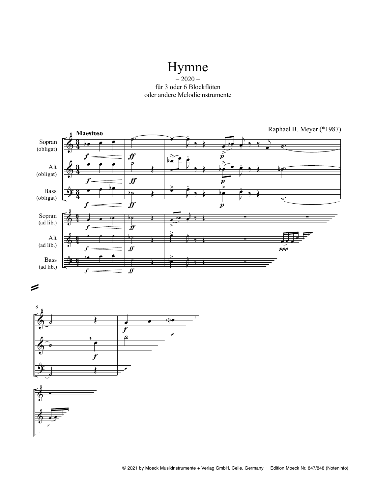### Hymne

 $-2020$ für 3 oder 6 Blockflöten oder andere Melodieinstrumente



 $\boldsymbol{z}$ 

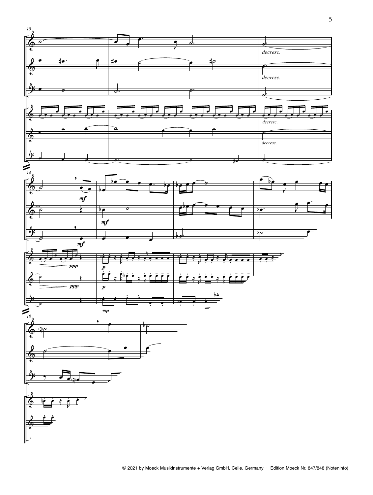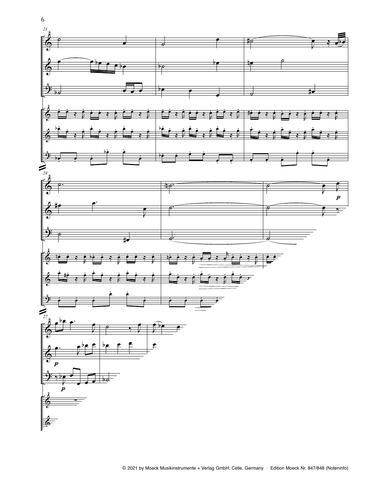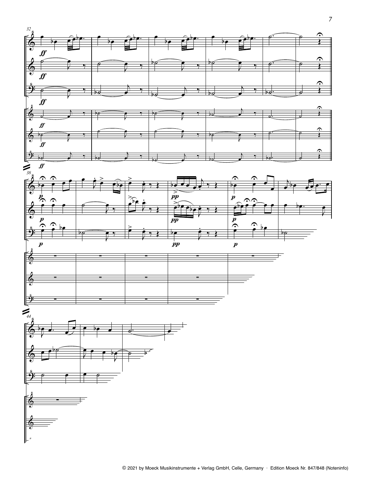

© 2021 by Moeck Musikinstrumente + Verlag GmbH, Celle, Germany · Edition Moeck Nr. 847/848 (Noteninfo)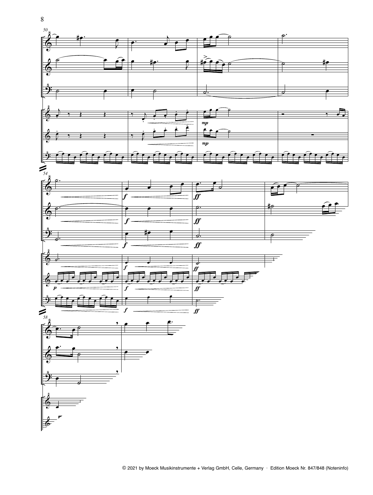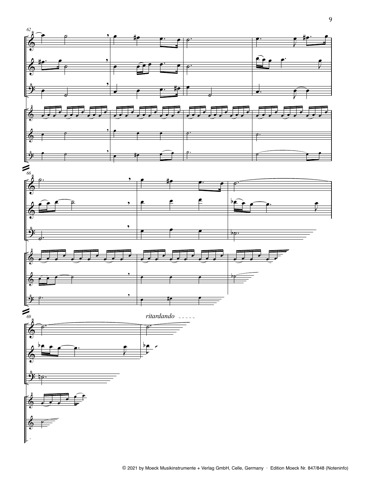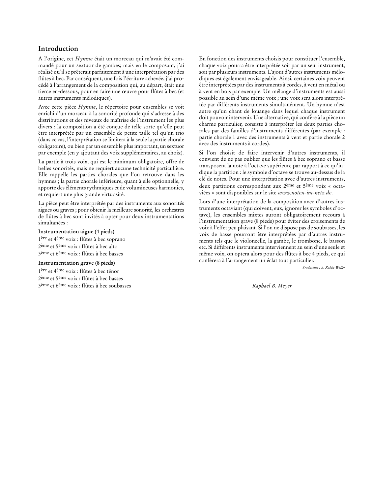#### **Introduction**

A l'origine, cet *Hymne* était un morceau qui m'avait été commandé pour un sextuor de gambes; mais en le composant, j'ai réalisé qu'il se prêterait parfaitement à une interprétation par des flûtes à bec. Par conséquent, une fois l'écriture achevée, j'ai procédé à l'arrangement de la composition qui, au départ, était une tierce en-dessous, pour en faire une œuvre pour flûtes à bec (et autres instruments mélodiques).

Avec cette pièce *Hymne*, le répertoire pour ensembles se voit enrichi d'un morceau à la sonorité profonde qui s'adresse à des distributions et des niveaux de maîtrise de l'instrument les plus divers : la composition a été conçue de telle sorte qu'elle peut être interprétée par un ensemble de petite taille tel qu'un trio (dans ce cas, l'interprétation se limitera à la seule la partie chorale obligatoire), ou bien par un ensemble plusimportant, un sextuor par exemple (en y ajoutant des voix supplémentaires, au choix).

La partie à trois voix, qui est le minimum obligatoire, offre de belles sonorités, mais ne requiert aucune technicité particulière. Elle rappelle les parties chorales que l'on retrouve dans les hymnes ; la partie chorale inférieure, quant à elle optionnelle, y apporte des éléments rythmiques et de volumineuses harmonies, et requiert une plus grande virtuosité.

La pièce peut être interprétée par des instruments aux sonorités aigues ou graves ; pour obtenir la meilleure sonorité, les orchestres de flûtes à bec sont invités à opter pour deux instrumentations simultanées :

#### **Instrumentation aigue (4 pieds)**

1ère et 4ème voix : flûtes à bec soprano 2ème et 5ème voix : flûtes à bec alto 3ème et 6ème voix : flûtes à bec basses

#### **Instrumentation grave (8 pieds)**

1ère et 4ème voix : flûtes à bec ténor 2ème et 5ème voix : flûtes à bec basses 3ème et 6ème voix : flûtes à bec soubasses En fonction des instruments choisis pour constituer l'ensemble, chaque voix pourra être interprétée soit par un seul instrument, soit par plusieurs instruments. L'ajout d'autres instruments mélodiques est également envisageable. Ainsi, certaines voix peuvent être interprétées par des instruments à cordes, à vent en métal ou à vent en bois par exemple. Un mélange d'instruments est aussi possible au sein d'une même voix ; une voix sera alors interprétée par différents instruments simultanément. Un hymne n'est autre qu'un chant de louange dans lequel chaque instrument doit pouvoir intervenir. Une alternative, qui confère à la pièce un charme particulier, consiste à interpréter les deux parties chorales par des familles d'instruments différentes (par exemple : partie chorale 1 avec des instruments à vent et partie chorale 2 avec des instruments à cordes).

Si l'on choisit de faire intervenir d'autres instruments, il convient de ne pas oublier que les flûtes à bec soprano et basse transposent la note à l'octave supérieure par rapport à ce qu'indique la partition : le symbole d'octave se trouve au-dessus de la clé de notes. Pour une interprétation avec d'autres instruments, deux partitions correspondant aux 2ème et 5ème voix « octaviées » sont disponibles sur le site *www.noten-im-netz.de*.

Lors d'une interprétation de la composition avec d'autres instruments octaviant (qui doivent, eux, ignorer les symboles d'octave), les ensembles mixtes auront obligatoirement recours à l'instrumentation grave (8 pieds) pour éviter des croisements de voix à l'effet peu plaisant. Si l'on ne dispose pas de soubasses, les voix de basse pourront être interprétées par d'autres instruments tels que le violoncelle, la gambe, le trombone, le basson etc. Si différents instruments interviennent au sein d'une seule et même voix, on optera alors pour des flûtes à bec 4 pieds, ce qui confèrera à l'arrangement un éclat tout particulier.

*Traduction : A. Rabin-Weller*

*Raphael B. Meyer*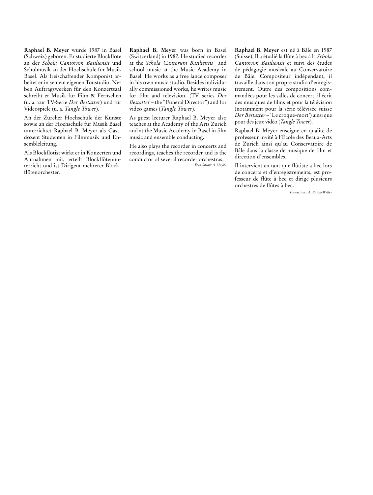**Raphael B. Meyer** wurde 1987 in Basel (Schweiz) geboren. Er studierte Blockflöte an der *Schola Cantorum Basiliensis* und Schulmusik an der Hochschule für Musik Basel. Als freischaffender Komponist arbeitet er in seinem eigenen Tonstudio. Neben Auftragswerken für den Konzertsaal schreibt er Musik für Film & Fernsehen (u. a. zur TV-Serie *Der Bestatter*) und für Videospiele (u. a. *Tangle Tower*).

An der Zürcher Hochschule der Künste sowie an der Hochschule für Musik Basel unterrichtet Raphael B. Meyer als Gastdozent Studenten in Filmmusik und Ensembleleitung.

Als Blockflötist wirkt er in Konzerten und Aufnahmen mit, erteilt Blockflötenunterricht und ist Dirigent mehrerer Blockflötenorchester.

**Raphael B. Meyer** was born in Basel (Switzerland) in 1987. He studied recorder at the *Schola Cantorum Basiliensis* and school music at the Music Academy in Basel. He works as a free lance composer in his own music studio. Besides individually commissioned works, he writes music for film and television, (TV series *Der Bestatter* – the "Funeral Director") and for video games (*Tangle Tower*).

As guest lecturer Raphael B. Meyer also teaches at the Academy of the Arts Zurich and at the Music Academy in Basel in film music and ensemble conducting.

He also plays the recorder in concerts and recordings, teaches the recorder and is the conductor of several recorder orchestras. *Translation: A. Meyke*

**Raphael B. Meyer** est né à Bâle en 1987 (Suisse). Il a étudié la flûte à bec à la *Schola Cantorum Basiliensis* et suivi des études de pédagogie musicale au Conservatoire de Bâle. Compositeur indépendant, il travaille dans son propre studio d'enregistrement. Outre des compositions commandées pour les salles de concert, il écrit des musiques de films et pour la télévision (notamment pour la série télévisée suisse *Der Bestatter –* 'Le croque-mort') ainsi que pour des jeux vidéo (*Tangle Tower*).

Raphael B. Meyer enseigne en qualité de professeur invité à l'École des Beaux-Arts de Zurich ainsi qu'au Conservatoire de Bâle dans la classe de musique de film et direction d'ensembles.

Il intervient en tant que flûtiste à bec lors de concerts et d'enregistrements, est professeur de flûte à bec et dirige plusieurs orchestres de flûtes à bec.

*Traduction : A. Rabin-Weller*